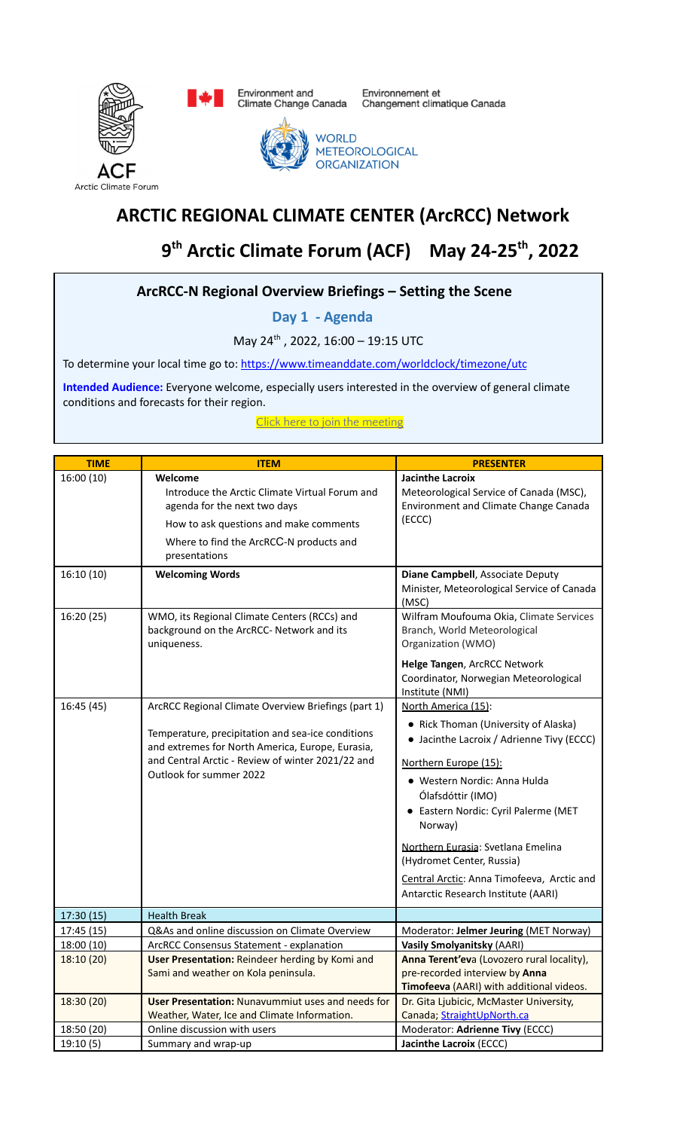

Environment and<br>Climate Change Canada

Environnement et<br>Changement climatique Canada



# **ARCTIC REGIONAL CLIMATE CENTER (ArcRCC) Network**

# **9 th Arctic Climate Forum (ACF) May 24-25th , 2022**

### **ArcRCC‐N Regional Overview Briefings – Setting the Scene**

**Day 1 - Agenda**

May 24<sup>th</sup>, 2022, 16:00 - 19:15 UTC

To determine your local time go to: https://www.timeanddate.com/worldclock/timezone/utc

**Intended Audience:** Everyone welcome, especially users interested in the overview of general climate conditions and forecasts for their region.

Click here to join the [meeting](https://teams.microsoft.com/l/meetup-join/19%3ameeting_YTYyZDE4NjktNzY4OS00YjMxLTlmNTQtM2RlNGUzOTY0ZWQ2%40thread.v2/0?context=%7b%22Tid%22%3a%22eaa6be54-4687-40c4-9827-c044bd8e8d3c%22%2c%22Oid%22%3a%229b0930d7-c6bf-4c1f-aa0f-10be8c9e7ea0%22%7d)

| <b>TIME</b> | <b>ITEM</b>                                                                                                                                                                                                                                  | <b>PRESENTER</b>                                                                                                                                                                                                                                                                                                                                                                                  |
|-------------|----------------------------------------------------------------------------------------------------------------------------------------------------------------------------------------------------------------------------------------------|---------------------------------------------------------------------------------------------------------------------------------------------------------------------------------------------------------------------------------------------------------------------------------------------------------------------------------------------------------------------------------------------------|
| 16:00 (10)  | Welcome<br>Introduce the Arctic Climate Virtual Forum and<br>agenda for the next two days<br>How to ask questions and make comments<br>Where to find the ArcRCC-N products and<br>presentations                                              | Jacinthe Lacroix<br>Meteorological Service of Canada (MSC),<br>Environment and Climate Change Canada<br>(ECCC)                                                                                                                                                                                                                                                                                    |
| 16:10 (10)  | <b>Welcoming Words</b>                                                                                                                                                                                                                       | Diane Campbell, Associate Deputy<br>Minister, Meteorological Service of Canada<br>(MSC)                                                                                                                                                                                                                                                                                                           |
| 16:20 (25)  | WMO, its Regional Climate Centers (RCCs) and<br>background on the ArcRCC- Network and its<br>uniqueness.                                                                                                                                     | Wilfram Moufouma Okia, Climate Services<br>Branch, World Meteorological<br>Organization (WMO)<br>Helge Tangen, ArcRCC Network<br>Coordinator, Norwegian Meteorological<br>Institute (NMI)                                                                                                                                                                                                         |
| 16:45 (45)  | ArcRCC Regional Climate Overview Briefings (part 1)<br>Temperature, precipitation and sea-ice conditions<br>and extremes for North America, Europe, Eurasia,<br>and Central Arctic - Review of winter 2021/22 and<br>Outlook for summer 2022 | North America (15):<br>• Rick Thoman (University of Alaska)<br>• Jacinthe Lacroix / Adrienne Tivy (ECCC)<br>Northern Europe (15):<br>· Western Nordic: Anna Hulda<br>Ólafsdóttir (IMO)<br>• Eastern Nordic: Cyril Palerme (MET<br>Norway)<br>Northern Eurasia: Svetlana Emelina<br>(Hydromet Center, Russia)<br>Central Arctic: Anna Timofeeva, Arctic and<br>Antarctic Research Institute (AARI) |
| 17:30(15)   | <b>Health Break</b>                                                                                                                                                                                                                          |                                                                                                                                                                                                                                                                                                                                                                                                   |
| 17:45 (15)  | Q&As and online discussion on Climate Overview                                                                                                                                                                                               | Moderator: Jelmer Jeuring (MET Norway)                                                                                                                                                                                                                                                                                                                                                            |
| 18:00 (10)  | <b>ArcRCC Consensus Statement - explanation</b>                                                                                                                                                                                              | <b>Vasily Smolyanitsky (AARI)</b>                                                                                                                                                                                                                                                                                                                                                                 |
| 18:10 (20)  | User Presentation: Reindeer herding by Komi and<br>Sami and weather on Kola peninsula.                                                                                                                                                       | Anna Terent'eva (Lovozero rural locality),<br>pre-recorded interview by Anna<br>Timofeeva (AARI) with additional videos.                                                                                                                                                                                                                                                                          |
| 18:30 (20)  | <b>User Presentation: Nunavummiut uses and needs for</b><br>Weather, Water, Ice and Climate Information.                                                                                                                                     | Dr. Gita Ljubicic, McMaster University,<br>Canada; StraightUpNorth.ca                                                                                                                                                                                                                                                                                                                             |
| 18:50 (20)  | Online discussion with users                                                                                                                                                                                                                 | Moderator: Adrienne Tivy (ECCC)                                                                                                                                                                                                                                                                                                                                                                   |
| 19:10(5)    | Summary and wrap-up                                                                                                                                                                                                                          | Jacinthe Lacroix (ECCC)                                                                                                                                                                                                                                                                                                                                                                           |